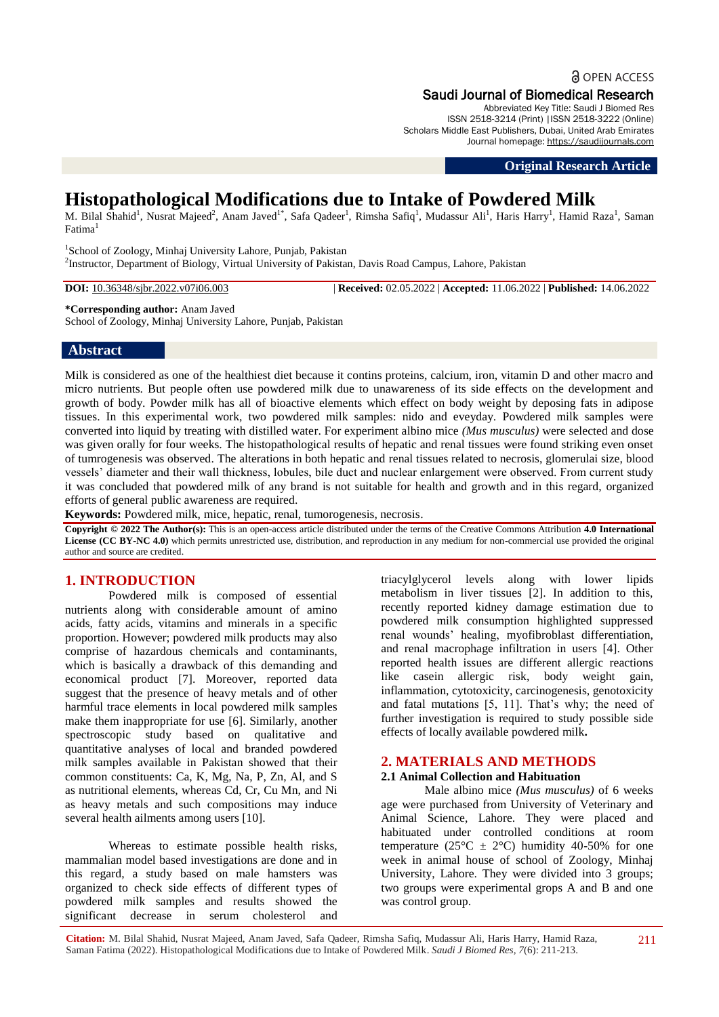# **a** OPEN ACCESS Saudi Journal of Biomedical Research

Abbreviated Key Title: Saudi J Biomed Res ISSN 2518-3214 (Print) |ISSN 2518-3222 (Online) Scholars Middle East Publishers, Dubai, United Arab Emirates Journal homepage: [https://saudijournals.com](https://saudijournals.com/sjbr)

**Original Research Article**

# **Histopathological Modifications due to Intake of Powdered Milk**

M. Bilal Shahid<sup>1</sup>, Nusrat Majeed<sup>2</sup>, Anam Javed<sup>1\*</sup>, Safa Qadeer<sup>1</sup>, Rimsha Safiq<sup>1</sup>, Mudassur Ali<sup>1</sup>, Haris Harry<sup>1</sup>, Hamid Raza<sup>1</sup>, Saman  $Fatima<sup>1</sup>$ 

<sup>1</sup>School of Zoology, Minhaj University Lahore, Punjab, Pakistan 2 Instructor, Department of Biology, Virtual University of Pakistan, Davis Road Campus, Lahore, Pakistan

**DOI:** 10.36348/sjbr.2022.v07i06.003 | **Received:** 02.05.2022 | **Accepted:** 11.06.2022 | **Published:** 14.06.2022

### **\*Corresponding author:** Anam Javed

School of Zoology, Minhaj University Lahore, Punjab, Pakistan

# **Abstract**

Milk is considered as one of the healthiest diet because it contins proteins, calcium, iron, vitamin D and other macro and micro nutrients. But people often use powdered milk due to unawareness of its side effects on the development and growth of body. Powder milk has all of bioactive elements which effect on body weight by deposing fats in adipose tissues. In this experimental work, two powdered milk samples: nido and eveyday. Powdered milk samples were converted into liquid by treating with distilled water. For experiment albino mice *(Mus musculus)* were selected and dose was given orally for four weeks. The histopathological results of hepatic and renal tissues were found striking even onset of tumrogenesis was observed. The alterations in both hepatic and renal tissues related to necrosis, glomerulai size, blood vessels' diameter and their wall thickness, lobules, bile duct and nuclear enlargement were observed. From current study it was concluded that powdered milk of any brand is not suitable for health and growth and in this regard, organized efforts of general public awareness are required.

**Keywords:** Powdered milk, mice, hepatic, renal, tumorogenesis, necrosis.

**Copyright © 2022 The Author(s):** This is an open-access article distributed under the terms of the Creative Commons Attribution **4.0 International**  License (CC BY-NC 4.0) which permits unrestricted use, distribution, and reproduction in any medium for non-commercial use provided the original author and source are credited.

# **1. INTRODUCTION**

Powdered milk is composed of essential nutrients along with considerable amount of amino acids, fatty acids, vitamins and minerals in a specific proportion. However; powdered milk products may also comprise of hazardous chemicals and contaminants, which is basically a drawback of this demanding and economical product [7]. Moreover, reported data suggest that the presence of heavy metals and of other harmful trace elements in local powdered milk samples make them inappropriate for use [6]. Similarly, another spectroscopic study based on qualitative and quantitative analyses of local and branded powdered milk samples available in Pakistan showed that their common constituents: Ca, K, Mg, Na, P, Zn, Al, and S as nutritional elements, whereas Cd, Cr, Cu Mn, and Ni as heavy metals and such compositions may induce several health ailments among users [10].

Whereas to estimate possible health risks, mammalian model based investigations are done and in this regard, a study based on male hamsters was organized to check side effects of different types of powdered milk samples and results showed the significant decrease in serum cholesterol and

triacylglycerol levels along with lower lipids metabolism in liver tissues [2]. In addition to this, recently reported kidney damage estimation due to powdered milk consumption highlighted suppressed renal wounds' healing, myofibroblast differentiation, and renal macrophage infiltration in users [4]. Other reported health issues are different allergic reactions like casein allergic risk, body weight gain, inflammation, cytotoxicity, carcinogenesis, genotoxicity and fatal mutations [5, 11]. That's why; the need of further investigation is required to study possible side effects of locally available powdered milk**.**

# **2. MATERIALS AND METHODS**

### **2.1 Animal Collection and Habituation**

Male albino mice *(Mus musculus)* of 6 weeks age were purchased from University of Veterinary and Animal Science, Lahore. They were placed and habituated under controlled conditions at room temperature (25 $\textdegree$ C ± 2 $\textdegree$ C) humidity 40-50% for one week in animal house of school of Zoology, Minhaj University, Lahore. They were divided into 3 groups; two groups were experimental grops A and B and one was control group.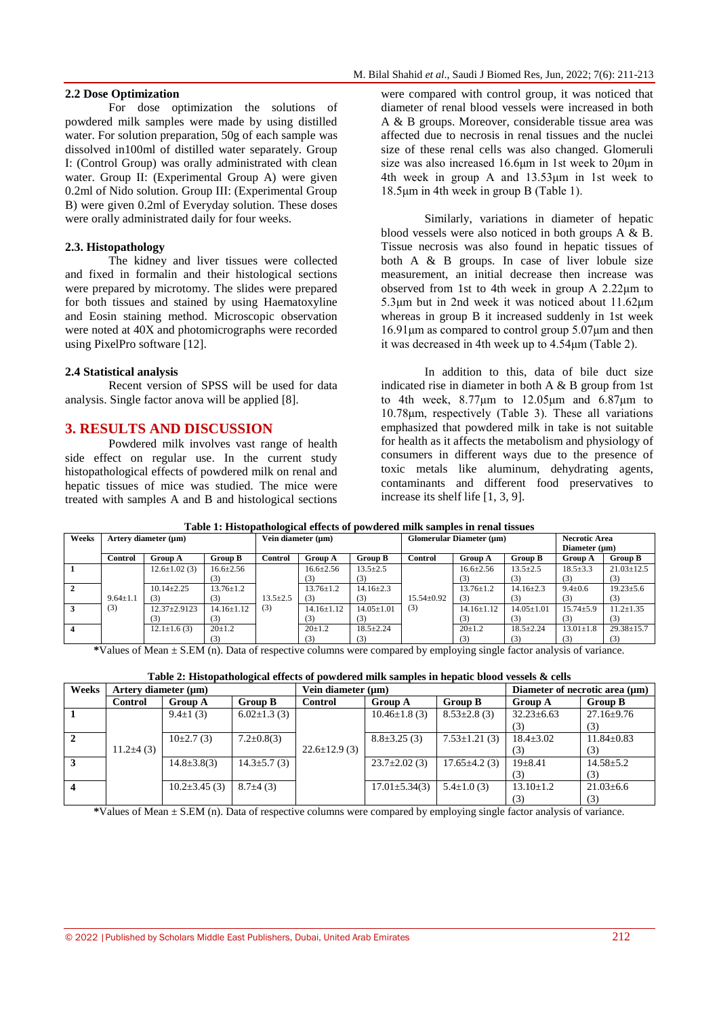#### **2.2 Dose Optimization**

For dose optimization the solutions of powdered milk samples were made by using distilled water. For solution preparation, 50g of each sample was dissolved in100ml of distilled water separately. Group I: (Control Group) was orally administrated with clean water. Group II: (Experimental Group A) were given 0.2ml of Nido solution. Group III: (Experimental Group B) were given 0.2ml of Everyday solution. These doses were orally administrated daily for four weeks.

#### **2.3. Histopathology**

The kidney and liver tissues were collected and fixed in formalin and their histological sections were prepared by microtomy. The slides were prepared for both tissues and stained by using Haematoxyline and Eosin staining method. Microscopic observation were noted at 40X and photomicrographs were recorded using PixelPro software [12].

#### **2.4 Statistical analysis**

Recent version of SPSS will be used for data analysis. Single factor anova will be applied [8].

# **3. RESULTS AND DISCUSSION**

Powdered milk involves vast range of health side effect on regular use. In the current study histopathological effects of powdered milk on renal and hepatic tissues of mice was studied. The mice were treated with samples A and B and histological sections

were compared with control group, it was noticed that diameter of renal blood vessels were increased in both A & B groups. Moreover, considerable tissue area was affected due to necrosis in renal tissues and the nuclei size of these renal cells was also changed. Glomeruli size was also increased 16.6μm in 1st week to 20μm in 4th week in group A and 13.53μm in 1st week to 18.5μm in 4th week in group B (Table 1).

Similarly, variations in diameter of hepatic blood vessels were also noticed in both groups A & B. Tissue necrosis was also found in hepatic tissues of both A & B groups. In case of liver lobule size measurement, an initial decrease then increase was observed from 1st to 4th week in group A 2.22μm to 5.3μm but in 2nd week it was noticed about 11.62μm whereas in group B it increased suddenly in 1st week 16.91μm as compared to control group 5.07μm and then it was decreased in 4th week up to 4.54μm (Table 2).

In addition to this, data of bile duct size indicated rise in diameter in both A & B group from 1st to 4th week,  $8.77\mu m$  to  $12.05\mu m$  and  $6.87\mu m$  to 10.78μm, respectively (Table 3). These all variations emphasized that powdered milk in take is not suitable for health as it affects the metabolism and physiology of consumers in different ways due to the presence of toxic metals like aluminum, dehydrating agents, contaminants and different food preservatives to increase its shelf life [1, 3, 9].

| Table 1: Histopathological effects of powdered milk samples in renal tissues |                      |                     |                   |                    |                  |                          |                  |                 |                      |                 |                  |
|------------------------------------------------------------------------------|----------------------|---------------------|-------------------|--------------------|------------------|--------------------------|------------------|-----------------|----------------------|-----------------|------------------|
| Weeks                                                                        | Artery diameter (µm) |                     |                   | Vein diameter (µm) |                  | Glomerular Diameter (µm) |                  |                 | <b>Necrotic Area</b> |                 |                  |
|                                                                              |                      |                     |                   |                    |                  |                          |                  |                 |                      | Diameter (um)   |                  |
|                                                                              | Control              | <b>Group A</b>      | <b>Group B</b>    | Control            | <b>Group A</b>   | <b>Group B</b>           | Control          | <b>Group A</b>  | <b>Group B</b>       | <b>Group A</b>  | <b>Group B</b>   |
|                                                                              |                      | $12.6 \pm 1.02$ (3) | $16.6 \pm 2.56$   |                    | $16.6 \pm 2.56$  | $13.5 \pm 2.5$           |                  | $16.6 \pm 2.56$ | $13.5 \pm 2.5$       | $18.5 \pm 3.3$  | $21.03 \pm 12.5$ |
|                                                                              |                      |                     |                   |                    |                  |                          |                  |                 |                      | (3)             | (3)              |
|                                                                              |                      | $10.14 + 2.25$      | $13.76 \pm 1.2$   |                    | $13.76 \pm 1.2$  | $14.16 \pm 2.3$          |                  | $13.76 \pm 1.2$ | $14.16 \pm 2.3$      | $9.4 \pm 0.6$   | $19.23 \pm 5.6$  |
|                                                                              | $9.64 \pm 1.1$       | (3)                 |                   | $13.5 \pm 2.5$     | (3)              | (3)                      | $15.54 \pm 0.92$ | (3)             | (3)                  | (3)             | (3)              |
|                                                                              | (3)                  | $12.37 \pm 2.9123$  | $14.16 \pm 1.12$  | (3)                | $14.16 \pm 1.12$ | $14.05 \pm 1.01$         | (3)              | $14.16 + 1.12$  | $14.05 \pm 1.01$     | $15.74 \pm 5.9$ | $11.2 \pm 1.35$  |
|                                                                              |                      | [3]                 | $\left( 3\right)$ |                    | 3)               | (3)                      |                  | (3)             | (3)                  | (3)             | (3)              |
|                                                                              |                      | $12.1 \pm 1.6(3)$   | $20+1.2$          |                    | $20 \pm 1.2$     | $18.5 + 2.24$            |                  | $20 \pm 1.2$    | $18.5 + 2.24$        | $13.01 \pm 1.8$ | $29.38 \pm 15.7$ |
|                                                                              |                      |                     |                   |                    | (3)              | (3)                      |                  | (3)             | (3)                  | (3)             | (3)              |

**Table 1: Histopathological effects of powdered milk samples in renal tissues**

**\***Values of Mean ± S.EM (n). Data of respective columns were compared by employing single factor analysis of variance.

| Table 2: Histopathological effects of powdered milk samples in hepatic blood vessels & cells |  |  |
|----------------------------------------------------------------------------------------------|--|--|
|----------------------------------------------------------------------------------------------|--|--|

| Weeks                   | Artery diameter $(\mu m)$ |                     |                    | Vein diameter $(\mu m)$ |                     | Diameter of necrotic area $(\mu m)$ |                  |                  |
|-------------------------|---------------------------|---------------------|--------------------|-------------------------|---------------------|-------------------------------------|------------------|------------------|
|                         | <b>Control</b>            | <b>Group A</b>      | <b>Group B</b>     | <b>Control</b>          | <b>Group A</b>      | <b>Group B</b>                      | <b>Group A</b>   | <b>Group B</b>   |
|                         |                           | $9.4 \pm 1(3)$      | $6.02 \pm 1.3$ (3) |                         | $10.46 \pm 1.8$ (3) | $8.53 \pm 2.8$ (3)                  | $32.23 \pm 6.63$ | $27.16 \pm 9.76$ |
|                         |                           |                     |                    |                         |                     |                                     | (3)              | (3)              |
| $\overline{2}$          |                           | $10\pm 2.7(3)$      | $7.2 \pm 0.8(3)$   |                         | $8.8 \pm 3.25$ (3)  | $7.53 \pm 1.21$ (3)                 | $18.4 \pm 3.02$  | $11.84 \pm 0.83$ |
|                         | $11.2\pm4(3)$             |                     |                    | $22.6 \pm 12.9$ (3)     |                     |                                     | (3)              | (3)              |
| $\mathbf{3}$            |                           | $14.8 \pm 3.8(3)$   | $14.3 \pm 5.7(3)$  |                         | $23.7 \pm 2.02$ (3) | $17.65 \pm 4.2$ (3)                 | $19 + 8.41$      | $14.58 \pm 5.2$  |
|                         |                           |                     |                    |                         |                     |                                     | (3)              | (3)              |
| $\overline{\mathbf{4}}$ |                           | $10.2 \pm 3.45$ (3) | $8.7\pm4(3)$       |                         | $17.01 \pm 5.34(3)$ | $5.4 \pm 1.0(3)$                    | $13.10+1.2$      | $21.03 \pm 6.6$  |
|                         |                           |                     |                    |                         |                     |                                     | (3)              | (3)              |

**\***Values of Mean ± S.EM (n). Data of respective columns were compared by employing single factor analysis of variance.